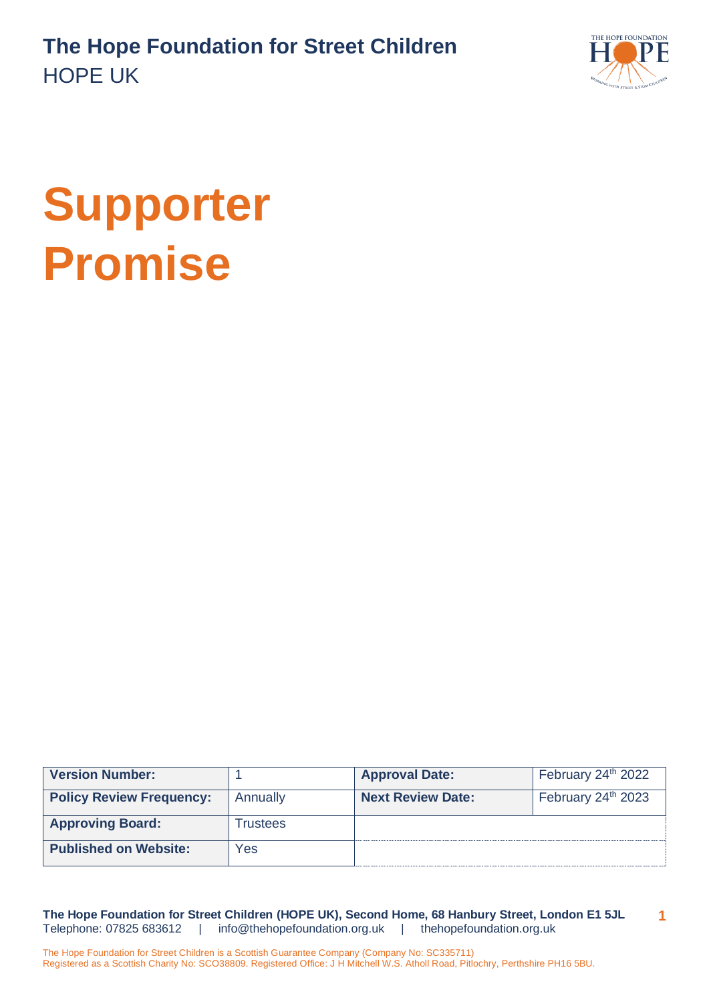

# **Supporter Promise**

| <b>Version Number:</b>          |          | <b>Approval Date:</b>    | February 24 <sup>th</sup> 2022 |
|---------------------------------|----------|--------------------------|--------------------------------|
| <b>Policy Review Frequency:</b> | Annually | <b>Next Review Date:</b> | February 24 <sup>th</sup> 2023 |
| <b>Approving Board:</b>         | Trustees |                          |                                |
| <b>Published on Website:</b>    | Yes      |                          |                                |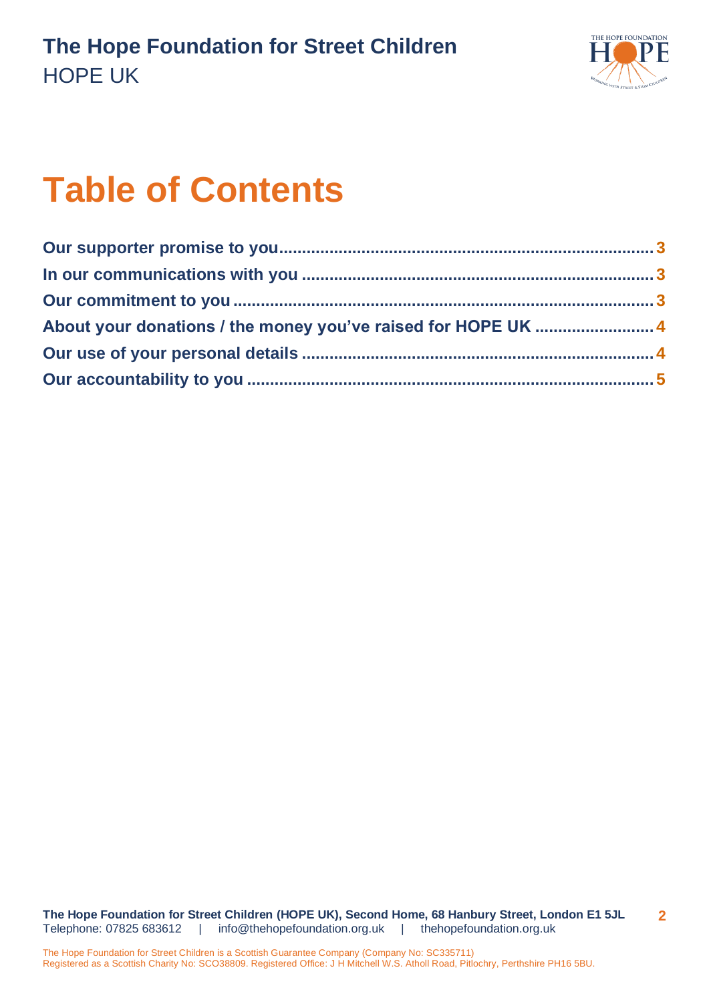

# **Table of Contents**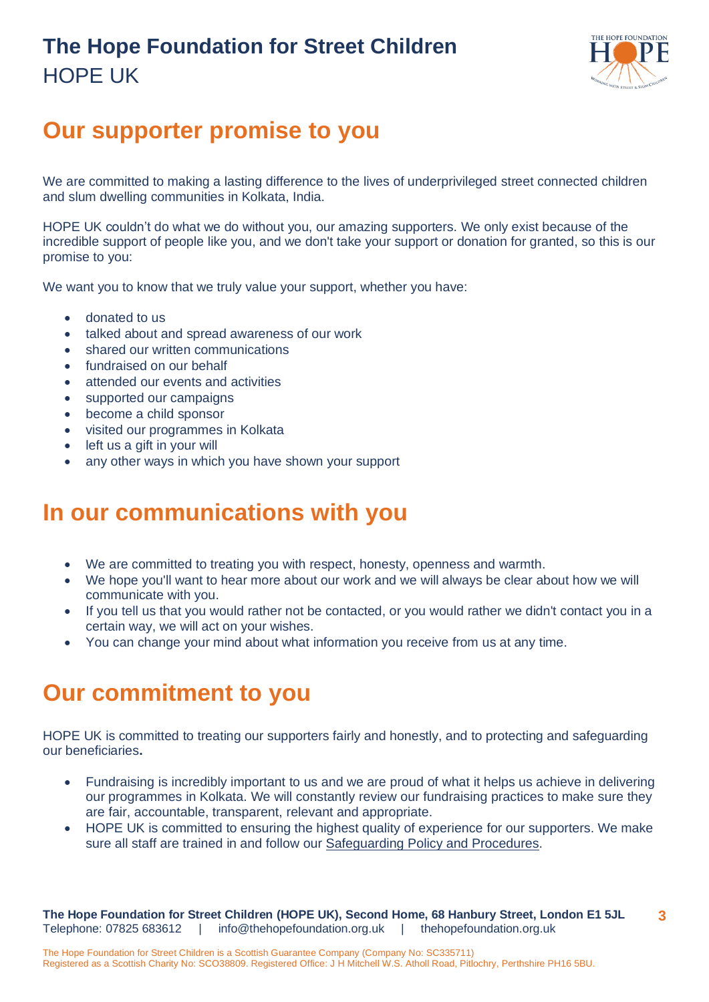

# <span id="page-2-0"></span>**Our supporter promise to you**

We are committed to making a lasting difference to the lives of underprivileged street connected children and slum dwelling communities in Kolkata, India.

HOPE UK couldn't do what we do without you, our amazing supporters. We only exist because of the incredible support of people like you, and we don't take your support or donation for granted, so this is our promise to you:

We want you to know that we truly value your support, whether you have:

- donated to us
- talked about and spread awareness of our work
- shared our written communications
- fundraised on our behalf
- attended our events and activities
- supported our campaigns
- become a child sponsor
- visited our programmes in Kolkata
- left us a gift in your will
- any other ways in which you have shown your support

# <span id="page-2-1"></span>**In our communications with you**

- We are committed to treating you with respect, honesty, openness and warmth.
- We hope you'll want to hear more about our work and we will always be clear about how we will communicate with you.
- If you tell us that you would rather not be contacted, or you would rather we didn't contact you in a certain way, we will act on your wishes.
- You can change your mind about what information you receive from us at any time.

### <span id="page-2-2"></span>**Our commitment to you**

HOPE UK is committed to treating our supporters fairly and honestly, and to protecting and safeguarding our beneficiaries**.**

- Fundraising is incredibly important to us and we are proud of what it helps us achieve in delivering our programmes in Kolkata. We will constantly review our fundraising practices to make sure they are fair, accountable, transparent, relevant and appropriate.
- HOPE UK is committed to ensuring the highest quality of experience for our supporters. We make sure all staff are trained in and follow our [Safeguarding Policy and Procedures.](https://www.thehopefoundation.org.uk/wp-content/uploads/2022/06/SafeguardingPolicyandProcedures_120622.pdf)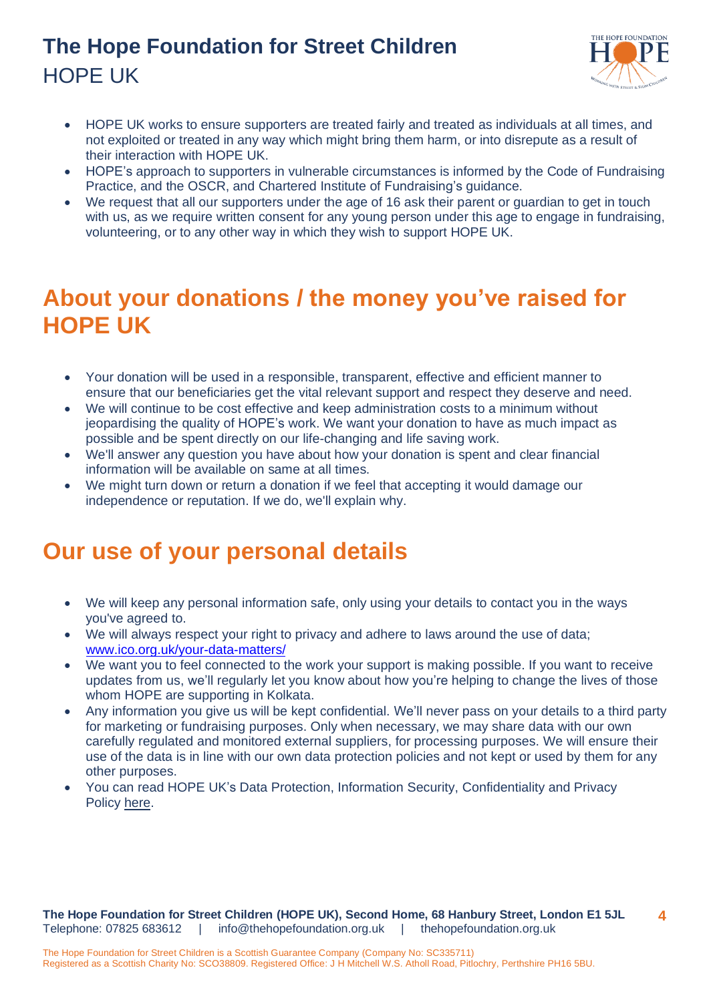

- HOPE UK works to ensure supporters are treated fairly and treated as individuals at all times, and not exploited or treated in any way which might bring them harm, or into disrepute as a result of their interaction with HOPE UK.
- HOPE's approach to supporters in vulnerable circumstances is informed by the Code of Fundraising Practice, and the OSCR, and Chartered Institute of Fundraising's guidance.
- We request that all our supporters under the age of 16 ask their parent or guardian to get in touch with us, as we require written consent for any young person under this age to engage in fundraising, volunteering, or to any other way in which they wish to support HOPE UK.

# <span id="page-3-0"></span>**About your donations / the money you've raised for HOPE UK**

- Your donation will be used in a responsible, transparent, effective and efficient manner to ensure that our beneficiaries get the vital relevant support and respect they deserve and need.
- We will continue to be cost effective and keep administration costs to a minimum without jeopardising the quality of HOPE's work. We want your donation to have as much impact as possible and be spent directly on our life-changing and life saving work.
- We'll answer any question you have about how your donation is spent and clear financial information will be available on same at all times.
- We might turn down or return a donation if we feel that accepting it would damage our independence or reputation. If we do, we'll explain why.

### <span id="page-3-1"></span>**Our use of your personal details**

- We will keep any personal information safe, only using your details to contact you in the ways you've agreed to.
- We will always respect your right to privacy and adhere to laws around the use of data; [www.ico.org.uk/your-data-matters/](http://www.ico.org.uk/your-data-matters/)
- We want you to feel connected to the work your support is making possible. If you want to receive updates from us, we'll regularly let you know about how you're helping to change the lives of those whom HOPE are supporting in Kolkata.
- Any information you give us will be kept confidential. We'll never pass on your details to a third party for marketing or fundraising purposes. Only when necessary, we may share data with our own carefully regulated and monitored external suppliers, for processing purposes. We will ensure their use of the data is in line with our own data protection policies and not kept or used by them for any other purposes.
- You can read HOPE UK's Data Protection, Information Security, Confidentiality and Privacy Policy [here](https://www.thehopefoundation.org.uk/wp-content/uploads/2022/06/DataProtection-InformationSecurity-Confidentiality-PrivacyPolicy_120622.pdf).